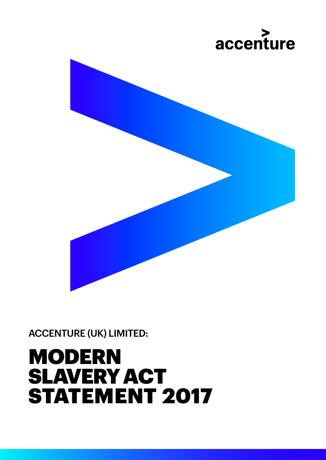## MODERN SLAVERY ACT STATEMENT 2017

ACCENTURE (UK) LIMITED:

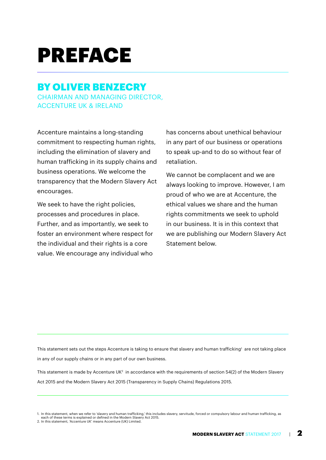## PREFACE

#### BY OLIVER BENZECRY CHAIRMAN AND MANAGING DIRECTOR, ACCENTURE UK & IRELAND

Accenture maintains a long-standing commitment to respecting human rights, including the elimination of slavery and human trafficking in its supply chains and business operations. We welcome the transparency that the Modern Slavery Act encourages.

We seek to have the right policies, processes and procedures in place. Further, and as importantly, we seek to foster an environment where respect for the individual and their rights is a core value. We encourage any individual who

has concerns about unethical behaviour in any part of our business or operations to speak up-and to do so without fear of retaliation.

We cannot be complacent and we are always looking to improve. However, I am proud of who we are at Accenture, the ethical values we share and the human rights commitments we seek to uphold in our business. It is in this context that we are publishing our Modern Slavery Act Statement below.

This statement sets out the steps Accenture is taking to ensure that slavery and human trafficking<sup>1</sup> are not taking place in any of our supply chains or in any part of our own business.

This statement is made by Accenture UK<sup>2</sup> in accordance with the requirements of section 54(2) of the Modern Slavery Act 2015 and the Modern Slavery Act 2015 (Transparency in Supply Chains) Regulations 2015.

<sup>1.</sup> In this statement, when we refer to 'slavery and human trafficking,' this includes slavery, servitude, forced or compulsory labour and human trafficking, as each of these terms is explained or defined in the Modern Slavery Act 2015. 2. In this statement, 'Accenture UK' means Accenture (UK) Limited.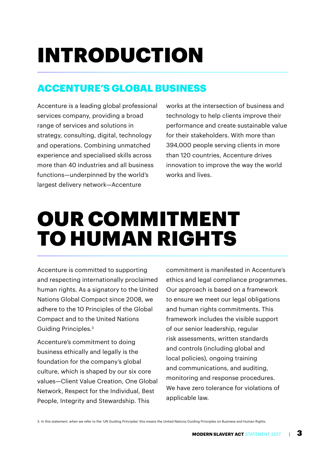# INTRODUCTION

#### ACCENTURE'S GLOBAL BUSINESS

Accenture is a leading global professional services company, providing a broad range of services and solutions in strategy, consulting, digital, technology and operations. Combining unmatched experience and specialised skills across more than 40 industries and all business functions—underpinned by the world's largest delivery network—Accenture

works at the intersection of business and technology to help clients improve their performance and create sustainable value for their stakeholders. With more than 394,000 people serving clients in more than 120 countries, Accenture drives innovation to improve the way the world works and lives.

### OUR COMMITMENT TO HUMAN RIGHTS

Accenture is committed to supporting and respecting internationally proclaimed human rights. As a signatory to the United Nations Global Compact since 2008, we adhere to the 10 Principles of the Global Compact and to the United Nations Guiding Principles.3

Accenture's commitment to doing business ethically and legally is the foundation for the company's global culture, which is shaped by our six core values—Client Value Creation, One Global Network, Respect for the Individual, Best People, Integrity and Stewardship. This

commitment is manifested in Accenture's ethics and legal compliance programmes. Our approach is based on a framework to ensure we meet our legal obligations and human rights commitments. This framework includes the visible support of our senior leadership, regular risk assessments, written standards and controls (including global and local policies), ongoing training and communications, and auditing, monitoring and response procedures. We have zero tolerance for violations of applicable law.

3. In this statement, when we refer to the 'UN Guiding Principles' this means the United Nations Guiding Principles on Business and Human Rights.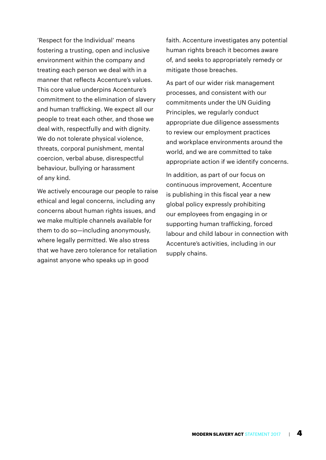'Respect for the Individual' means fostering a trusting, open and inclusive environment within the company and treating each person we deal with in a manner that reflects Accenture's values. This core value underpins Accenture's commitment to the elimination of slavery and human trafficking. We expect all our people to treat each other, and those we deal with, respectfully and with dignity. We do not tolerate physical violence, threats, corporal punishment, mental coercion, verbal abuse, disrespectful behaviour, bullying or harassment of any kind.

We actively encourage our people to raise ethical and legal concerns, including any concerns about human rights issues, and we make multiple channels available for them to do so—including anonymously, where legally permitted. We also stress that we have zero tolerance for retaliation against anyone who speaks up in good

faith. Accenture investigates any potential human rights breach it becomes aware of, and seeks to appropriately remedy or mitigate those breaches.

As part of our wider risk management processes, and consistent with our commitments under the UN Guiding Principles, we regularly conduct appropriate due diligence assessments to review our employment practices and workplace environments around the world, and we are committed to take appropriate action if we identify concerns.

In addition, as part of our focus on continuous improvement, Accenture is publishing in this fiscal year a new global policy expressly prohibiting our employees from engaging in or supporting human trafficking, forced labour and child labour in connection with Accenture's activities, including in our supply chains.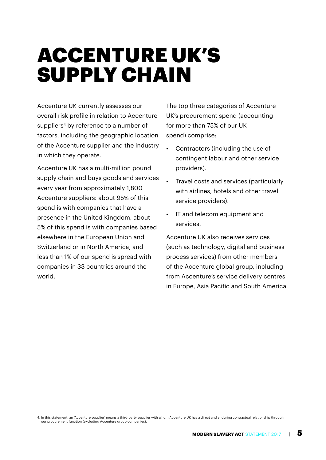## ACCENTURE UK'S SUPPLY CHAIN

Accenture UK currently assesses our overall risk profile in relation to Accenture suppliers<sup>4</sup> by reference to a number of factors, including the geographic location of the Accenture supplier and the industry in which they operate.

Accenture UK has a multi-million pound supply chain and buys goods and services every year from approximately 1,800 Accenture suppliers: about 95% of this spend is with companies that have a presence in the United Kingdom, about 5% of this spend is with companies based elsewhere in the European Union and Switzerland or in North America, and less than 1% of our spend is spread with companies in 33 countries around the world.

The top three categories of Accenture UK's procurement spend (accounting for more than 75% of our UK spend) comprise:

- Contractors (including the use of contingent labour and other service providers).
- Travel costs and services (particularly with airlines, hotels and other travel service providers).
- IT and telecom equipment and services.

Accenture UK also receives services (such as technology, digital and business process services) from other members of the Accenture global group, including from Accenture's service delivery centres in Europe, Asia Pacific and South America.

<sup>4.</sup> In this statement, an 'Accenture supplier' means a third-party supplier with whom Accenture UK has a direct and enduring contractual relationship through our procurement function (excluding Accenture group companies).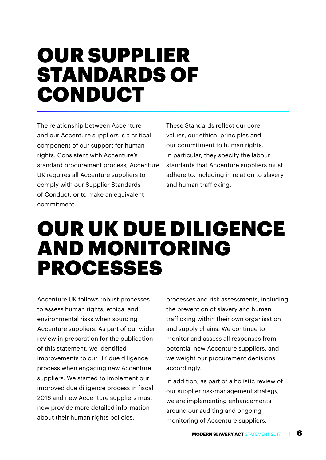#### OUR SUPPLIER STANDARDS OF CONDUCT

The relationship between Accenture and our Accenture suppliers is a critical component of our support for human rights. Consistent with Accenture's standard procurement process, Accenture UK requires all Accenture suppliers to comply with our Supplier Standards of Conduct, or to make an equivalent commitment.

These Standards reflect our core values, our ethical principles and our commitment to human rights. In particular, they specify the labour standards that Accenture suppliers must adhere to, including in relation to slavery and human trafficking.

#### OUR UK DUE DILIGENCE AND MONITORING PROCESSES

Accenture UK follows robust processes to assess human rights, ethical and environmental risks when sourcing Accenture suppliers. As part of our wider review in preparation for the publication of this statement, we identified improvements to our UK due diligence process when engaging new Accenture suppliers. We started to implement our improved due diligence process in fiscal 2016 and new Accenture suppliers must now provide more detailed information about their human rights policies.

processes and risk assessments, including the prevention of slavery and human trafficking within their own organisation and supply chains. We continue to monitor and assess all responses from potential new Accenture suppliers, and we weight our procurement decisions accordingly.

In addition, as part of a holistic review of our supplier risk-management strategy, we are implementing enhancements around our auditing and ongoing monitoring of Accenture suppliers.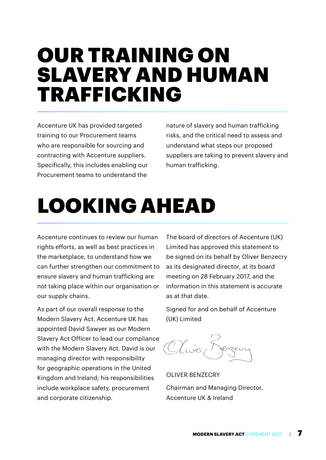#### OUR TRAINING ON SLAVERY AND HUMAN TRAFFICKING

Accenture UK has provided targeted training to our Procurement teams who are responsible for sourcing and contracting with Accenture suppliers. Specifically, this includes enabling our Procurement teams to understand the

nature of slavery and human trafficking risks, and the critical need to assess and understand what steps our proposed suppliers are taking to prevent slavery and human trafficking.

## LOOKING AHEAD

Accenture continues to review our human rights efforts, as well as best practices in the marketplace, to understand how we can further strengthen our commitment to ensure slavery and human trafficking are not taking place within our organisation or our supply chains.

As part of our overall response to the Modern Slavery Act, Accenture UK has appointed David Sawyer as our Modern Slavery Act Officer to lead our compliance with the Modern Slavery Act. David is our managing director with responsibility for geographic operations in the United Kingdom and Ireland; his responsibilities include workplace safety, procurement and corporate citizenship.

The board of directors of Accenture (UK) Limited has approved this statement to be signed on its behalf by Oliver Benzecry as its designated director, at its board meeting on 28 February 2017, and the information in this statement is accurate as at that date.

Signed for and on behalf of Accenture (UK) Limited

Olives,

OLIVER BENZECRY Chairman and Managing Director, Accenture UK & Ireland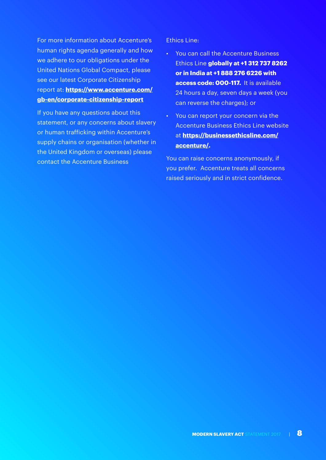For more information about Accenture's human rights agenda generally and how we adhere to our obligations under the United Nations Global Compact, please see our latest Corporate Citizenship report at: **[https://www.accenture.com/](https://www.accenture.com/gb-en/corporate-citizenship-report) [gb-en/corporate-citizenship-report](https://www.accenture.com/gb-en/corporate-citizenship-report)**

If you have any questions about this statement, or any concerns about slavery or human trafficking within Accenture's supply chains or organisation (whether in the United Kingdom or overseas) please contact the Accenture Business

#### Ethics Line:

- You can call the Accenture Business Ethics Line **globally at +1 312 737 8262 or in India at +1 888 276 6226 with access code: 000-117.** It is available 24 hours a day, seven days a week (you can reverse the charges); or
- You can report your concern via the Accenture Business Ethics Line website at **[https://businessethicsline.com/](https://businessethicsline.com/accenture/) [accenture/](https://businessethicsline.com/accenture/).**

You can raise concerns anonymously, if you prefer. Accenture treats all concerns raised seriously and in strict confidence.